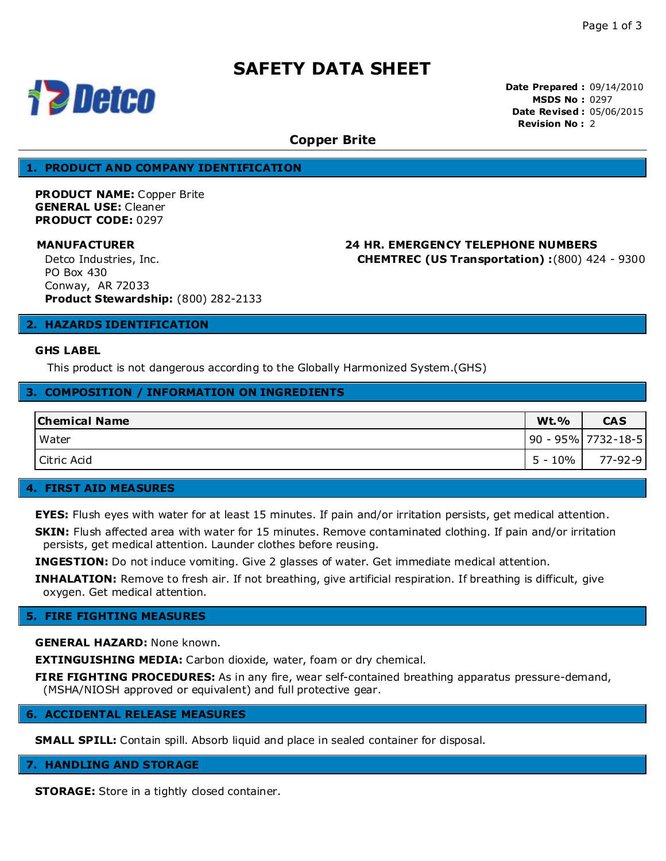# **SAFETY DATA SHEET**



**Date Prepared :** 09/14/2010 **MSDS No :** 0297 **Date Revised :** 05/06/2015 **Revision No :** 2

#### **Copper Brite**

#### **1. PRODUCT AND COMPANY IDENTIFICATION**

**PRODUCT NAME:** Copper Brite **GENERAL USE:** Cleaner **PRODUCT CODE:** 0297

**MANUFACTURER 24 HR. EMERGENCY TELEPHONE NUMBERS CHEMTREC (US Transportation) :**(800) 424 - 9300

Detco Industries, Inc. PO Box 430 Conway, AR 72033 **Product Stewardship:** (800) 282-2133

#### **2. HAZARDS IDENTIFICATION**

#### **GHS LABEL**

This product is not dangerous according to the Globally Harmonized System.(GHS)

#### **3. COMPOSITION / INFORMATION ON INGREDIENTS**

| <b>Chemical Name</b> | <b>Wt.%</b> | <b>CAS</b>          |
|----------------------|-------------|---------------------|
| Water                |             | 90 - 95%  7732-18-5 |
| l Citric Acid        | 5 - 10%     | 77-92-91            |

#### **4. FIRST AID MEASURES**

**EYES:** Flush eyes with water for at least 15 minutes. If pain and/or irritation persists, get medical attention.

**SKIN:** Flush affected area with water for 15 minutes. Remove contaminated clothing. If pain and/or irritation persists, get medical attention. Launder clothes before reusing.

**INGESTION:** Do not induce vomiting. Give 2 glasses of water. Get immediate medical attention.

**INHALATION:** Remove to fresh air. If not breathing, give artificial respiration. If breathing is difficult, give oxygen. Get medical attention.

#### **5. FIRE FIGHTING MEASURES**

**GENERAL HAZARD:** None known.

**EXTINGUISHING MEDIA:** Carbon dioxide, water, foam or dry chemical.

**FIRE FIGHTING PROCEDURES:** As in any fire, wear self-contained breathing apparatus pressure-demand, (MSHA/NIOSH approved or equivalent) and full protective gear.

#### **6. ACCIDENTAL RELEASE MEASURES**

**SMALL SPILL:** Contain spill. Absorb liquid and place in sealed container for disposal.

#### **7. HANDLING AND STORAGE**

**STORAGE:** Store in a tightly closed container.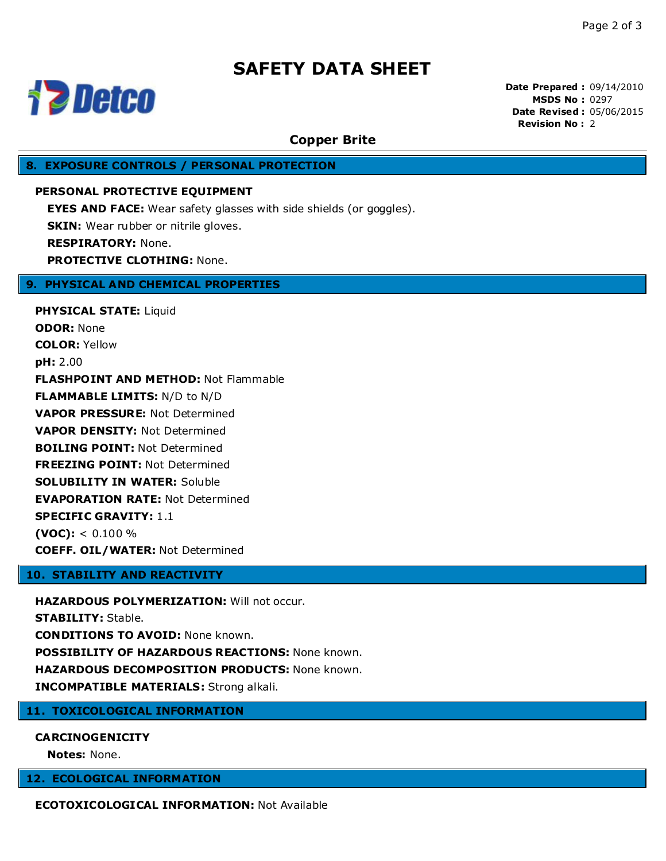# **SAFETY DATA SHEET**



**Date Prepared :** 09/14/2010 **MSDS No :** 0297 **Date Revised :** 05/06/2015 **Revision No :** 2

#### **Copper Brite**

#### **8. EXPOSURE CONTROLS / PERSONAL PROTECTION**

### **PERSONAL PROTECTIVE EQUIPMENT**

**EYES AND FACE:** Wear safety glasses with side shields (or goggles). **SKIN:** Wear rubber or nitrile gloves. **RESPIRATORY:** None. **PROTECTIVE CLOTHING:** None.

#### **9. PHYSICAL AND CHEMICAL PROPERTIES**

**PHYSICAL STATE:** Liquid **ODOR:** None **COLOR:** Yellow **pH:** 2.00 **FLASHPOINT AND METHOD:** Not Flammable **FLAMMABLE LIMITS:** N/D to N/D **VAPOR PRESSURE:** Not Determined **VAPOR DENSITY:** Not Determined **BOILING POINT:** Not Determined **FREEZING POINT:** Not Determined **SOLUBILITY IN WATER:** Soluble **EVAPORATION RATE:** Not Determined **SPECIFIC GRAVITY:** 1.1  $(VOC):$  < 0.100 % **COEFF. OIL/WATER:** Not Determined

#### **10. STABILITY AND REACTIVITY**

**HAZARDOUS POLYMERIZATION:** Will not occur. **STABILITY:** Stable. **CONDITIONS TO AVOID:** None known. **POSSIBILITY OF HAZARDOUS REACTIONS: None known. HAZARDOUS DECOMPOSITION PRODUCTS: None known. INCOMPATIBLE MATERIALS:** Strong alkali.

#### **11. TOXICOLOGICAL INFORMATION**

#### **CARCINOGENICITY**

**Notes:** None.

#### **12. ECOLOGICAL INFORMATION**

**ECOTOXICOLOGICAL INFORMATION:** Not Available